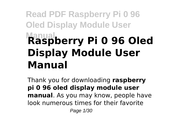# **Read PDF Raspberry Pi 0 96 Oled Display Module User Manual Raspberry Pi 0 96 Oled Display Module User Manual**

Thank you for downloading **raspberry pi 0 96 oled display module user manual**. As you may know, people have look numerous times for their favorite Page 1/30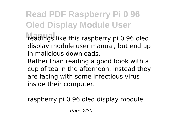**Read PDF Raspberry Pi 0 96 Oled Display Module User Manual** readings like this raspberry pi 0 96 oled

display module user manual, but end up in malicious downloads.

Rather than reading a good book with a cup of tea in the afternoon, instead they are facing with some infectious virus inside their computer.

raspberry pi 0 96 oled display module

Page 2/30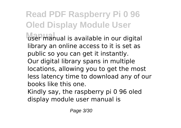**Read PDF Raspberry Pi 0 96 Oled Display Module User** user manual is available in our digital library an online access to it is set as public so you can get it instantly. Our digital library spans in multiple locations, allowing you to get the most less latency time to download any of our books like this one. Kindly say, the raspberry pi 0 96 oled

display module user manual is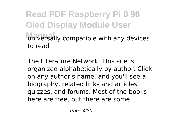**Read PDF Raspberry Pi 0 96 Oled Display Module User** universally compatible with any devices to read

The Literature Network: This site is organized alphabetically by author. Click on any author's name, and you'll see a biography, related links and articles, quizzes, and forums. Most of the books here are free, but there are some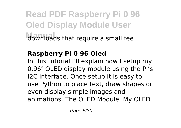**Read PDF Raspberry Pi 0 96 Oled Display Module User Manual** downloads that require a small fee.

### **Raspberry Pi 0 96 Oled**

In this tutorial I'll explain how I setup my 0.96″ OLED display module using the Pi's I2C interface. Once setup it is easy to use Python to place text, draw shapes or even display simple images and animations. The OLED Module. My OLED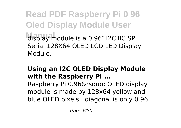**Read PDF Raspberry Pi 0 96 Oled Display Module User Manual** display module is a 0.96″ I2C IIC SPI Serial 128X64 OLED LCD LED Display Module.

### **Using an I2C OLED Display Module with the Raspberry Pi ...**

Raspberry Pi 0.96' OLED display module is made by 128x64 yellow and blue OLED pixels , diagonal is only 0.96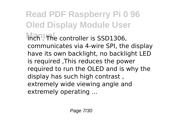**Read PDF Raspberry Pi 0 96 Oled Display Module User Inch . The controller is SSD1306,** communicates via 4-wire SPI, the display have its own backlight, no backlight LED is required ,This reduces the power required to run the OLED and is why the display has such high contrast , extremely wide viewing angle and extremely operating ...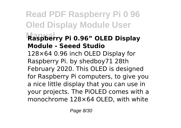## **Read PDF Raspberry Pi 0 96 Oled Display Module User Manual Raspberry Pi 0.96" OLED Display Module - Seeed Studio** 128×64 0.96 inch OLED Display for Raspberry Pi. by shedboy71 28th February 2020. This OLED is designed for Raspberry Pi computers, to give you a nice little display that you can use in your projects. The PiOLED comes with a monochrome 128×64 OLED, with white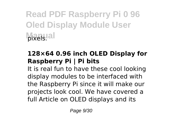**Read PDF Raspberry Pi 0 96 Oled Display Module User** *<u>bixels</u>* 

### **128×64 0.96 inch OLED Display for Raspberry Pi | Pi bits**

It is real fun to have these cool looking display modules to be interfaced with the Raspberry Pi since it will make our projects look cool. We have covered a full Article on OLED displays and its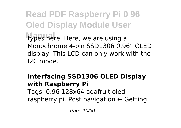**Read PDF Raspberry Pi 0 96 Oled Display Module User** types here. Here, we are using a Monochrome 4-pin SSD1306 0.96" OLED display. This LCD can only work with the I2C mode.

### **Interfacing SSD1306 OLED Display with Raspberry Pi** Tags: 0.96 128x64 adafruit oled raspberry pi. Post navigation ← Getting

Page 10/30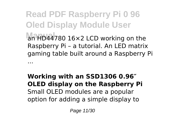**Read PDF Raspberry Pi 0 96 Oled Display Module User Manual** an HD44780 16×2 LCD working on the Raspberry Pi – a tutorial. An LED matrix gaming table built around a Raspberry Pi ...

### **Working with an SSD1306 0.96″ OLED display on the Raspberry Pi** Small OLED modules are a popular option for adding a simple display to

Page 11/30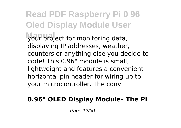**Read PDF Raspberry Pi 0 96 Oled Display Module User Manual** your project for monitoring data, displaying IP addresses, weather, counters or anything else you decide to code! This 0.96" module is small, lightweight and features a convenient horizontal pin header for wiring up to your microcontroller. The conv

### **0.96" OLED Display Module– The Pi**

Page 12/30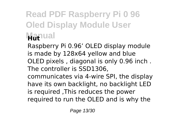# **Read PDF Raspberry Pi 0 96 Oled Display Module User Manual**

Raspberry Pi 0.96' OLED display module is made by 128x64 yellow and blue OLED pixels , diagonal is only 0.96 inch . The controller is SSD1306,

communicates via 4-wire SPI, the display have its own backlight, no backlight LED is required ,This reduces the power required to run the OLED and is why the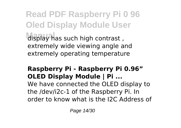**Read PDF Raspberry Pi 0 96 Oled Display Module User Manual** display has such high contrast , extremely wide viewing angle and extremely operating temperature

### **Raspberry Pi - Raspberry Pi 0.96" OLED Display Module | Pi ...**

We have connected the OLED display to the /dev/i2c-1 of the Raspberry Pi. In order to know what is the I2C Address of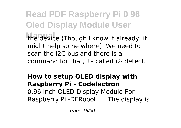**Read PDF Raspberry Pi 0 96 Oled Display Module User Manual** the device (Though I know it already, it might help some where). We need to scan the I2C bus and there is a command for that, its called i2cdetect.

### **How to setup OLED display with Raspberry Pi - Codelectron** 0.96 Inch OLED Display Module For Raspberry Pi -DFRobot. ... The display is

Page 15/30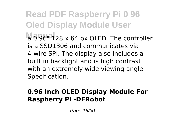**Read PDF Raspberry Pi 0 96 Oled Display Module User Ma** 0.96<sup>c</sup>128 x 64 px OLED. The controller is a SSD1306 and communicates via 4-wire SPI. The display also includes a built in backlight and is high contrast with an extremely wide viewing angle. Specification.

### **0.96 Inch OLED Display Module For Raspberry Pi -DFRobot**

Page 16/30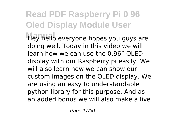# **Read PDF Raspberry Pi 0 96 Oled Display Module User Manual** Hey hello everyone hopes you guys are

doing well. Today in this video we will learn how we can use the 0.96" OLED display with our Raspberry pi easily. We will also learn how we can show our custom images on the OLED display. We are using an easy to understandable python library for this purpose. And as an added bonus we will also make a live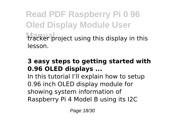**Read PDF Raspberry Pi 0 96 Oled Display Module User** tracker project using this display in this lesson.

### **3 easy steps to getting started with 0.96 OLED displays ...**

In this tutorial I'll explain how to setup 0.96 inch OLED display module for showing system information of Raspberry Pi 4 Model B using its I2C

Page 18/30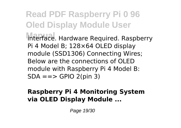**Read PDF Raspberry Pi 0 96 Oled Display Module User Manual** interface. Hardware Required. Raspberry Pi 4 Model B; 128×64 OLED display module (SSD1306) Connecting Wires; Below are the connections of OLED module with Raspberry Pi 4 Model B:  $SDA == > GPIO$  2(pin 3)

### **Raspberry Pi 4 Monitoring System via OLED Display Module ...**

Page 19/30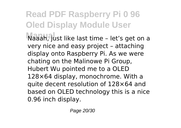**Read PDF Raspberry Pi 0 96 Oled Display Module User Manual** Naaah, just like last time – let's get on a very nice and easy project – attaching display onto Raspberry Pi. As we were chating on the Malinowe Pi Group, Hubert Wu pointed me to a OLED 128×64 display, monochrome. With a quite decent resolution of 128×64 and based on OLED technology this is a nice 0.96 inch display.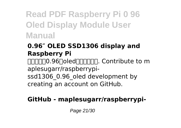**Read PDF Raspberry Pi 0 96 Oled Display Module User Manual**

### **0.96″ OLED SSD1306 display and Raspberry Pi**

 $\Pi\Pi\Pi\Pi$ 0.96 $\Pi$ oled $\Pi\Pi\Pi\Pi\Pi$ . Contribute to m aplesugarr/raspberrypi-

ssd1306\_0.96\_oled development by creating an account on GitHub.

### **GitHub - maplesugarr/raspberrypi-**

Page 21/30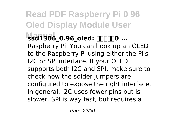**Read PDF Raspberry Pi 0 96 Oled Display Module User Manual ssd1306\_0.96\_oled: 树莓派使用0 ...** Raspberry Pi. You can hook up an OLED to the Raspberry Pi using either the Pi's I2C or SPI interface. If your OLED supports both I2C and SPI, make sure to check how the solder jumpers are configured to expose the right interface. In general, I2C uses fewer pins but is slower. SPI is way fast, but requires a

Page 22/30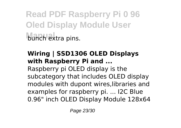**Read PDF Raspberry Pi 0 96 Oled Display Module User Munch extra pins.** 

### **Wiring | SSD1306 OLED Displays with Raspberry Pi and ...**

Raspberry pi OLED display is the subcategory that includes OLED display modules with dupont wires,libraries and examples for raspberry pi. ... I2C Blue 0.96" inch OLED Display Module 128x64

Page 23/30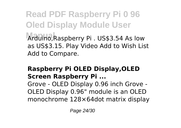**Read PDF Raspberry Pi 0 96 Oled Display Module User Manual** Arduino,Raspberry Pi . US\$3.54 As low as US\$3.15. Play Video Add to Wish List Add to Compare.

### **Raspberry Pi OLED Display,OLED Screen Raspberry Pi ...**

Grove - OLED Display 0.96 inch Grove - OLED Display 0.96" module is an OLED monochrome 128×64dot matrix display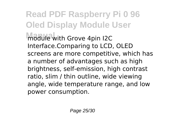**Read PDF Raspberry Pi 0 96 Oled Display Module User Module** with Grove 4pin I2C Interface.Comparing to LCD, OLED screens are more competitive, which has a number of advantages such as high brightness, self-emission, high contrast ratio, slim / thin outline, wide viewing angle, wide temperature range, and low power consumption.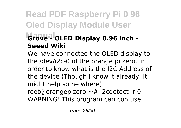## **Read PDF Raspberry Pi 0 96 Oled Display Module User**  $G$ rove<sup>al</sup> OLED Display 0.96 inch -**Seeed Wiki**

We have connected the OLED display to the /dev/i2c-0 of the orange pi zero. In order to know what is the I2C Address of the device (Though I know it already, it might help some where). root@orangepizero:~# i2cdetect -r 0 WARNING! This program can confuse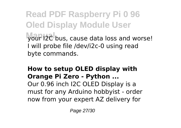**Read PDF Raspberry Pi 0 96 Oled Display Module User Manual** your I2C bus, cause data loss and worse! I will probe file /dev/i2c-0 using read byte commands.

### **How to setup OLED display with Orange Pi Zero - Python ...** Our 0.96 inch I2C OLED Display is a must for any Arduino hobbyist - order now from your expert AZ delivery for

Page 27/30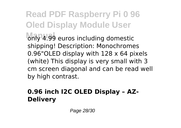**Read PDF Raspberry Pi 0 96 Oled Display Module User Manual** only 4.99 euros including domestic shipping! Description: Monochromes 0.96"OLED display with 128 x 64 pixels (white) This display is very small with 3 cm screen diagonal and can be read well by high contrast.

### **0.96 inch I2C OLED Display – AZ-Delivery**

Page 28/30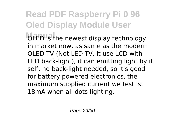**Read PDF Raspberry Pi 0 96 Oled Display Module User Manual** OLED is the newest display technology in market now, as same as the modern OLED TV (Not LED TV, it use LCD with LED back-light), it can emitting light by it self, no back-light needed, so it's good for battery powered electronics, the maximum supplied current we test is: 18mA when all dots lighting.